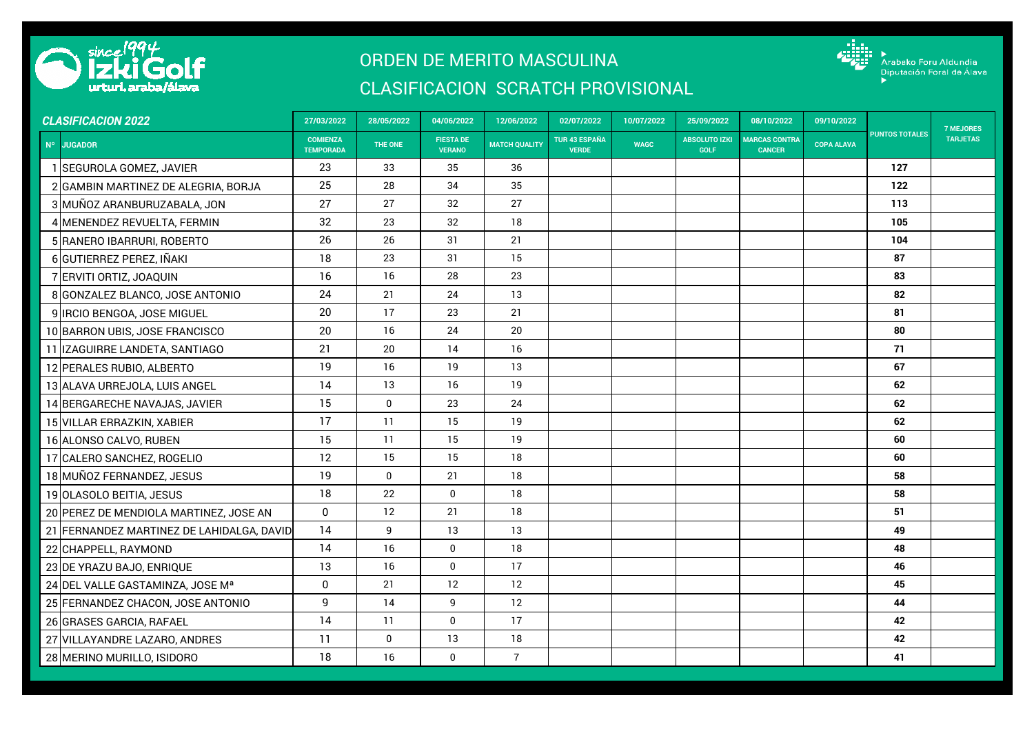

## ORDEN DE MERITO MASCULINA

## CLASIFICACION SCRATCH PROVISIONAL



| <b>CLASIFICACION 2022</b> |                                           | 27/03/2022                          | 28/05/2022  | 04/06/2022                        | 12/06/2022           | 02/07/2022                           | 10/07/2022  | 25/09/2022                          | 08/10/2022                            | 09/10/2022        |                       | <b>7 MEJORES</b> |
|---------------------------|-------------------------------------------|-------------------------------------|-------------|-----------------------------------|----------------------|--------------------------------------|-------------|-------------------------------------|---------------------------------------|-------------------|-----------------------|------------------|
|                           | Nº JUGADOR                                | <b>COMIENZA</b><br><b>TEMPORADA</b> | THE ONE     | <b>FIESTA DE</b><br><b>VERANO</b> | <b>MATCH QUALITY</b> | <b>TUR 43 ESPAÑA</b><br><b>VERDE</b> | <b>WAGC</b> | <b>ABSOLUTO IZKI</b><br><b>GOLF</b> | <b>MARCAS CONTRA</b><br><b>CANCER</b> | <b>COPA ALAVA</b> | <b>PUNTOS TOTALES</b> | <b>TARJETAS</b>  |
|                           | <b>SEGUROLA GOMEZ, JAVIER</b>             | 23                                  | 33          | 35                                | 36                   |                                      |             |                                     |                                       |                   | 127                   |                  |
|                           | 2 GAMBIN MARTINEZ DE ALEGRIA, BORJA       | 25                                  | 28          | 34                                | 35                   |                                      |             |                                     |                                       |                   | 122                   |                  |
|                           | 3 MUÑOZ ARANBURUZABALA, JON               | 27                                  | 27          | 32                                | 27                   |                                      |             |                                     |                                       |                   | 113                   |                  |
|                           | 4 MENENDEZ REVUELTA, FERMIN               | 32                                  | 23          | 32                                | 18                   |                                      |             |                                     |                                       |                   | 105                   |                  |
|                           | 5 RANERO IBARRURI, ROBERTO                | 26                                  | 26          | 31                                | 21                   |                                      |             |                                     |                                       |                   | 104                   |                  |
|                           | 6 GUTIERREZ PEREZ, IÑAKI                  | 18                                  | 23          | 31                                | 15                   |                                      |             |                                     |                                       |                   | 87                    |                  |
|                           | 7 ERVITI ORTIZ, JOAQUIN                   | 16                                  | 16          | 28                                | 23                   |                                      |             |                                     |                                       |                   | 83                    |                  |
|                           | 8 GONZALEZ BLANCO, JOSE ANTONIO           | 24                                  | 21          | 24                                | 13                   |                                      |             |                                     |                                       |                   | 82                    |                  |
|                           | 9 IRCIO BENGOA, JOSE MIGUEL               | 20                                  | 17          | 23                                | 21                   |                                      |             |                                     |                                       |                   | 81                    |                  |
|                           | 10 BARRON UBIS, JOSE FRANCISCO            | 20                                  | 16          | 24                                | 20                   |                                      |             |                                     |                                       |                   | 80                    |                  |
|                           | 11 IZAGUIRRE LANDETA, SANTIAGO            | 21                                  | 20          | 14                                | 16                   |                                      |             |                                     |                                       |                   | 71                    |                  |
|                           | 12 PERALES RUBIO, ALBERTO                 | 19                                  | 16          | 19                                | 13                   |                                      |             |                                     |                                       |                   | 67                    |                  |
|                           | 13 ALAVA URREJOLA, LUIS ANGEL             | 14                                  | 13          | 16                                | 19                   |                                      |             |                                     |                                       |                   | 62                    |                  |
|                           | 14 BERGARECHE NAVAJAS, JAVIER             | 15                                  | $\mathbf 0$ | 23                                | 24                   |                                      |             |                                     |                                       |                   | 62                    |                  |
|                           | 15 VILLAR ERRAZKIN, XABIER                | 17                                  | 11          | 15                                | 19                   |                                      |             |                                     |                                       |                   | 62                    |                  |
|                           | 16 ALONSO CALVO, RUBEN                    | 15                                  | 11          | 15                                | 19                   |                                      |             |                                     |                                       |                   | 60                    |                  |
|                           | 17 CALERO SANCHEZ, ROGELIO                | 12                                  | 15          | 15                                | 18                   |                                      |             |                                     |                                       |                   | 60                    |                  |
|                           | 18 MUÑOZ FERNANDEZ, JESUS                 | 19                                  | $\mathbf 0$ | 21                                | 18                   |                                      |             |                                     |                                       |                   | 58                    |                  |
|                           | 19 OLASOLO BEITIA, JESUS                  | 18                                  | 22          | $\mathbf{0}$                      | 18                   |                                      |             |                                     |                                       |                   | 58                    |                  |
|                           | 20 PEREZ DE MENDIOLA MARTINEZ, JOSE AN    | $\mathbf 0$                         | 12          | 21                                | 18                   |                                      |             |                                     |                                       |                   | 51                    |                  |
|                           | 21 FERNANDEZ MARTINEZ DE LAHIDALGA, DAVID | 14                                  | 9           | 13                                | 13                   |                                      |             |                                     |                                       |                   | 49                    |                  |
|                           | 22 CHAPPELL, RAYMOND                      | 14                                  | 16          | $\pmb{0}$                         | 18                   |                                      |             |                                     |                                       |                   | 48                    |                  |
|                           | 23 DE YRAZU BAJO, ENRIQUE                 | 13                                  | 16          | $\mathbf{0}$                      | 17                   |                                      |             |                                     |                                       |                   | 46                    |                  |
|                           | 24 DEL VALLE GASTAMINZA, JOSE Mª          | $\mathbf 0$                         | 21          | 12                                | 12                   |                                      |             |                                     |                                       |                   | 45                    |                  |
|                           | 25 FERNANDEZ CHACON, JOSE ANTONIO         | 9                                   | 14          | 9                                 | 12                   |                                      |             |                                     |                                       |                   | 44                    |                  |
|                           | 26 GRASES GARCIA, RAFAEL                  | 14                                  | 11          | $\mathbf 0$                       | 17                   |                                      |             |                                     |                                       |                   | 42                    |                  |
|                           | 27 VILLAYANDRE LAZARO, ANDRES             | 11                                  | $\mathbf 0$ | 13                                | 18                   |                                      |             |                                     |                                       |                   | 42                    |                  |
|                           | 28 MERINO MURILLO, ISIDORO                | 18                                  | 16          | $\mathbf 0$                       | $\overline{7}$       |                                      |             |                                     |                                       |                   | 41                    |                  |